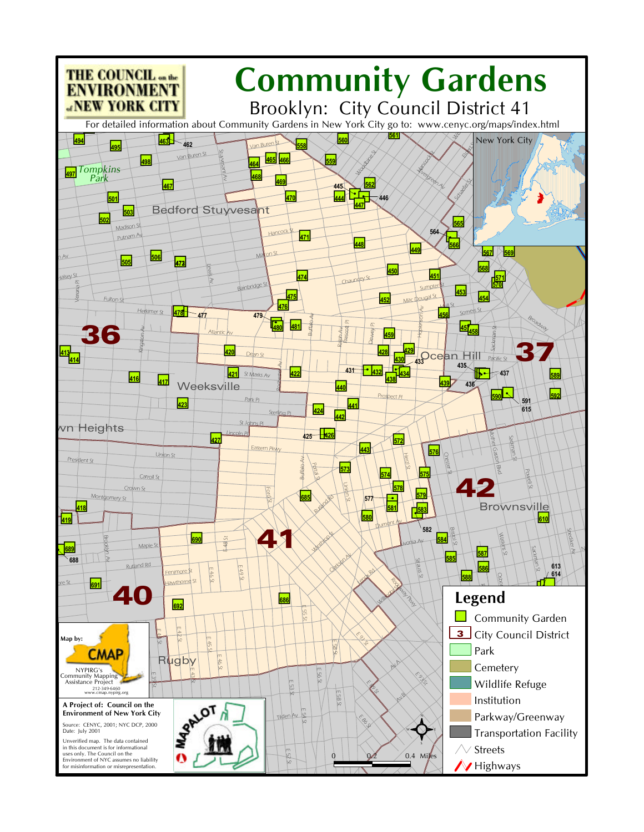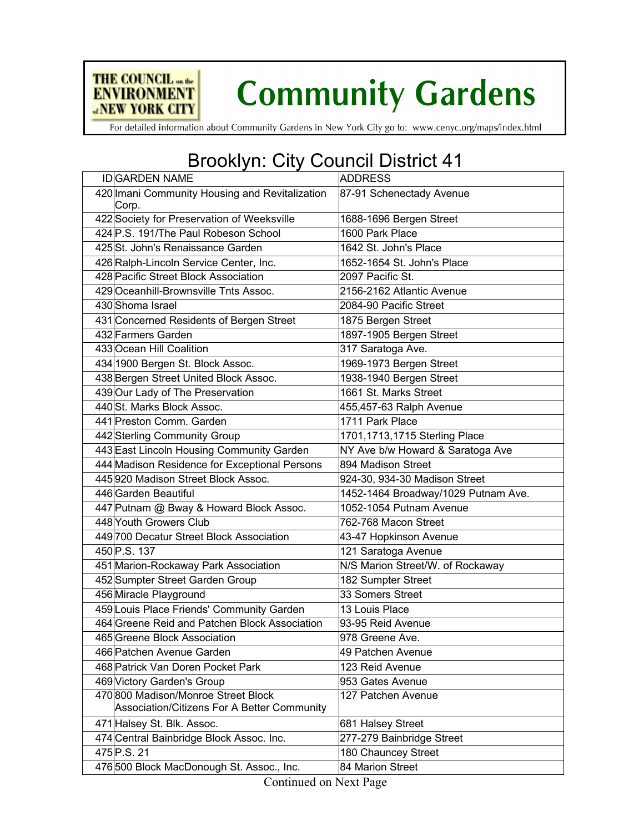

## **Community Gardens**

For detailed information about Community Gardens in New York City go to: www.cenyc.org/maps/index.html

## Brooklyn: City Council District 41

| <b>IDGARDEN NAME</b>                           | <b>ADDRESS</b>                      |
|------------------------------------------------|-------------------------------------|
| 420 Imani Community Housing and Revitalization | 87-91 Schenectady Avenue            |
| Corp.                                          |                                     |
| 422 Society for Preservation of Weeksville     | 1688-1696 Bergen Street             |
| 424 P.S. 191/The Paul Robeson School           | 1600 Park Place                     |
| 425 St. John's Renaissance Garden              | 1642 St. John's Place               |
| 426 Ralph-Lincoln Service Center, Inc.         | 1652-1654 St. John's Place          |
| 428 Pacific Street Block Association           | 2097 Pacific St.                    |
| 429 Oceanhill-Brownsville Tnts Assoc.          | 2156-2162 Atlantic Avenue           |
| 430 Shoma Israel                               | 2084-90 Pacific Street              |
| 431 Concerned Residents of Bergen Street       | 1875 Bergen Street                  |
| 432 Farmers Garden                             | 1897-1905 Bergen Street             |
| 433 Ocean Hill Coalition                       | 317 Saratoga Ave.                   |
| 434 1900 Bergen St. Block Assoc.               | 1969-1973 Bergen Street             |
| 438 Bergen Street United Block Assoc.          | 1938-1940 Bergen Street             |
| 439 Our Lady of The Preservation               | 1661 St. Marks Street               |
| 440 St. Marks Block Assoc.                     | 455,457-63 Ralph Avenue             |
| 441 Preston Comm. Garden                       | 1711 Park Place                     |
| 442 Sterling Community Group                   | 1701,1713,1715 Sterling Place       |
| 443 East Lincoln Housing Community Garden      | NY Ave b/w Howard & Saratoga Ave    |
| 444 Madison Residence for Exceptional Persons  | 894 Madison Street                  |
| 445920 Madison Street Block Assoc.             | 924-30, 934-30 Madison Street       |
| 446 Garden Beautiful                           | 1452-1464 Broadway/1029 Putnam Ave. |
| 447 Putnam @ Bway & Howard Block Assoc.        | 1052-1054 Putnam Avenue             |
| 448 Youth Growers Club                         | 762-768 Macon Street                |
| 449 700 Decatur Street Block Association       | 43-47 Hopkinson Avenue              |
| 450 P.S. 137                                   | 121 Saratoga Avenue                 |
| 451 Marion-Rockaway Park Association           | N/S Marion Street/W. of Rockaway    |
| 452 Sumpter Street Garden Group                | 182 Sumpter Street                  |
| 456 Miracle Playground                         | 33 Somers Street                    |
| 459 Louis Place Friends' Community Garden      | 13 Louis Place                      |
| 464 Greene Reid and Patchen Block Association  | 93-95 Reid Avenue                   |
| 465 Greene Block Association                   | 978 Greene Ave.                     |
| 466 Patchen Avenue Garden                      | 49 Patchen Avenue                   |
| 468 Patrick Van Doren Pocket Park              | 123 Reid Avenue                     |
| 469 Victory Garden's Group                     | 953 Gates Avenue                    |
| 470 800 Madison/Monroe Street Block            | 127 Patchen Avenue                  |
| Association/Citizens For A Better Community    |                                     |
| 471 Halsey St. Blk. Assoc.                     | 681 Halsey Street                   |
| 474 Central Bainbridge Block Assoc. Inc.       | 277-279 Bainbridge Street           |
| 475 P.S. 21                                    | 180 Chauncey Street                 |
| 476 500 Block MacDonough St. Assoc., Inc.      | 84 Marion Street                    |
|                                                |                                     |